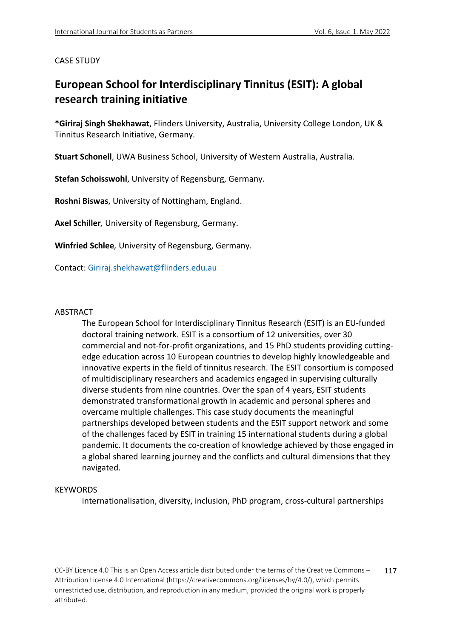## CASE STUDY

## **European School for Interdisciplinary Tinnitus (ESIT): A global research training initiative**

**\*Giriraj Singh Shekhawat**, Flinders University, Australia, University College London, UK & Tinnitus Research Initiative, Germany.

**Stuart Schonell**, UWA Business School, University of Western Australia, Australia.

**Stefan Schoisswohl**, University of Regensburg, Germany.

**Roshni Biswas**, University of Nottingham, England.

**Axel Schiller***,* University of Regensburg, Germany.

**Winfried Schlee***,* University of Regensburg, Germany.

Contact: Giriraj.shekhawat@flinders.edu.au

#### ABSTRACT

The European School for Interdisciplinary Tinnitus Research (ESIT) is an EU-funded doctoral training network. ESIT is a consortium of 12 universities, over 30 commercial and not-for-profit organizations, and 15 PhD students providing cuttingedge education across 10 European countries to develop highly knowledgeable and innovative experts in the field of tinnitus research. The ESIT consortium is composed of multidisciplinary researchers and academics engaged in supervising culturally diverse students from nine countries. Over the span of 4 years, ESIT students demonstrated transformational growth in academic and personal spheres and overcame multiple challenges. This case study documents the meaningful partnerships developed between students and the ESIT support network and some of the challenges faced by ESIT in training 15 international students during a global pandemic. It documents the co-creation of knowledge achieved by those engaged in a global shared learning journey and the conflicts and cultural dimensions that they navigated.

## **KEYWORDS**

internationalisation, diversity, inclusion, PhD program, cross-cultural partnerships

CC-BY Licence 4.0 This is an Open Access article distributed under the terms of the Creative Commons – Attribution License 4.0 International (https://creativecommons.org/licenses/by/4.0/), which permits unrestricted use, distribution, and reproduction in any medium, provided the original work is properly attributed. 117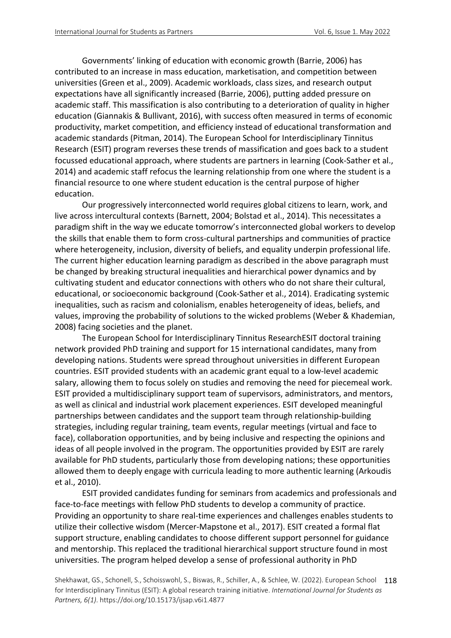Governments' linking of education with economic growth (Barrie, 2006) has contributed to an increase in mass education, marketisation, and competition between universities (Green et al., 2009). Academic workloads, class sizes, and research output expectations have all significantly increased (Barrie, 2006), putting added pressure on academic staff. This massification is also contributing to a deterioration of quality in higher education (Giannakis & Bullivant, 2016), with success often measured in terms of economic productivity, market competition, and efficiency instead of educational transformation and academic standards (Pitman, 2014). The European School for Interdisciplinary Tinnitus Research (ESIT) program reverses these trends of massification and goes back to a student focussed educational approach, where students are partners in learning (Cook-Sather et al., 2014) and academic staff refocus the learning relationship from one where the student is a financial resource to one where student education is the central purpose of higher education.

Our progressively interconnected world requires global citizens to learn, work, and live across intercultural contexts (Barnett, 2004; Bolstad et al., 2014). This necessitates a paradigm shift in the way we educate tomorrow's interconnected global workers to develop the skills that enable them to form cross-cultural partnerships and communities of practice where heterogeneity, inclusion, diversity of beliefs, and equality underpin professional life. The current higher education learning paradigm as described in the above paragraph must be changed by breaking structural inequalities and hierarchical power dynamics and by cultivating student and educator connections with others who do not share their cultural, educational, or socioeconomic background (Cook-Sather et al., 2014). Eradicating systemic inequalities, such as racism and colonialism, enables heterogeneity of ideas, beliefs, and values, improving the probability of solutions to the wicked problems (Weber & Khademian, 2008) facing societies and the planet.

The European School for Interdisciplinary Tinnitus ResearchESIT doctoral training network provided PhD training and support for 15 international candidates, many from developing nations. Students were spread throughout universities in different European countries. ESIT provided students with an academic grant equal to a low-level academic salary, allowing them to focus solely on studies and removing the need for piecemeal work. ESIT provided a multidisciplinary support team of supervisors, administrators, and mentors, as well as clinical and industrial work placement experiences. ESIT developed meaningful partnerships between candidates and the support team through relationship-building strategies, including regular training, team events, regular meetings (virtual and face to face), collaboration opportunities, and by being inclusive and respecting the opinions and ideas of all people involved in the program. The opportunities provided by ESIT are rarely available for PhD students, particularly those from developing nations; these opportunities allowed them to deeply engage with curricula leading to more authentic learning (Arkoudis et al., 2010).

ESIT provided candidates funding for seminars from academics and professionals and face-to-face meetings with fellow PhD students to develop a community of practice. Providing an opportunity to share real-time experiences and challenges enables students to utilize their collective wisdom (Mercer-Mapstone et al., 2017). ESIT created a formal flat support structure, enabling candidates to choose different support personnel for guidance and mentorship. This replaced the traditional hierarchical support structure found in most universities. The program helped develop a sense of professional authority in PhD

Shekhawat, GS., Schonell, S., Schoisswohl, S., Biswas, R., Schiller, A., & Schlee, W. (2022). European School 118 for Interdisciplinary Tinnitus (ESIT): A global research training initiative. *International Journal for Students as Partners, 6(1)*. https://doi.org/10.15173/ijsap.v6i1.4877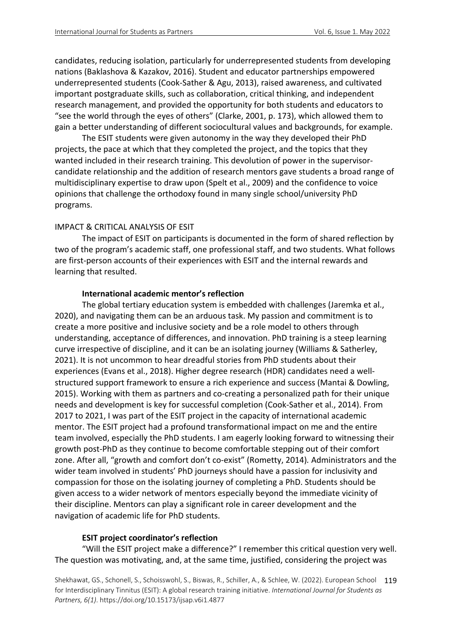candidates, reducing isolation, particularly for underrepresented students from developing nations (Baklashova & Kazakov, 2016). Student and educator partnerships empowered underrepresented students (Cook-Sather & Agu, 2013), raised awareness, and cultivated important postgraduate skills, such as collaboration, critical thinking, and independent research management, and provided the opportunity for both students and educators to "see the world through the eyes of others" (Clarke, 2001, p. 173), which allowed them to gain a better understanding of different sociocultural values and backgrounds, for example.

The ESIT students were given autonomy in the way they developed their PhD projects, the pace at which that they completed the project, and the topics that they wanted included in their research training. This devolution of power in the supervisorcandidate relationship and the addition of research mentors gave students a broad range of multidisciplinary expertise to draw upon (Spelt et al., 2009) and the confidence to voice opinions that challenge the orthodoxy found in many single school/university PhD programs.

## IMPACT & CRITICAL ANALYSIS OF ESIT

The impact of ESIT on participants is documented in the form of shared reflection by two of the program's academic staff, one professional staff, and two students. What follows are first-person accounts of their experiences with ESIT and the internal rewards and learning that resulted.

## **International academic mentor's reflection**

The global tertiary education system is embedded with challenges (Jaremka et al., 2020), and navigating them can be an arduous task. My passion and commitment is to create a more positive and inclusive society and be a role model to others through understanding, acceptance of differences, and innovation. PhD training is a steep learning curve irrespective of discipline, and it can be an isolating journey (Williams & Satherley, 2021). It is not uncommon to hear dreadful stories from PhD students about their experiences (Evans et al., 2018). Higher degree research (HDR) candidates need a wellstructured support framework to ensure a rich experience and success (Mantai & Dowling, 2015). Working with them as partners and co-creating a personalized path for their unique needs and development is key for successful completion (Cook-Sather et al., 2014). From 2017 to 2021, I was part of the ESIT project in the capacity of international academic mentor. The ESIT project had a profound transformational impact on me and the entire team involved, especially the PhD students. I am eagerly looking forward to witnessing their growth post-PhD as they continue to become comfortable stepping out of their comfort zone. After all, "growth and comfort don't co-exist" (Rometty, 2014)*.* Administrators and the wider team involved in students' PhD journeys should have a passion for inclusivity and compassion for those on the isolating journey of completing a PhD. Students should be given access to a wider network of mentors especially beyond the immediate vicinity of their discipline. Mentors can play a significant role in career development and the navigation of academic life for PhD students.

## **ESIT project coordinator's reflection**

"Will the ESIT project make a difference?" I remember this critical question very well. The question was motivating, and, at the same time, justified, considering the project was

Shekhawat, GS., Schonell, S., Schoisswohl, S., Biswas, R., Schiller, A., & Schlee, W. (2022). European School 119 for Interdisciplinary Tinnitus (ESIT): A global research training initiative. *International Journal for Students as Partners, 6(1)*. https://doi.org/10.15173/ijsap.v6i1.4877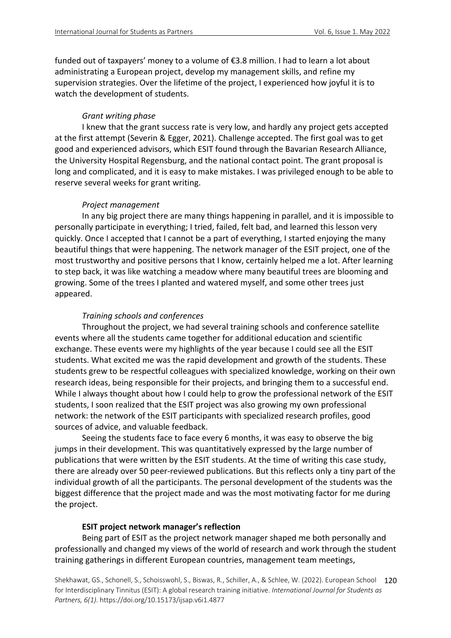funded out of taxpayers' money to a volume of  $\epsilon$ 3.8 million. I had to learn a lot about administrating a European project, develop my management skills, and refine my supervision strategies. Over the lifetime of the project, I experienced how joyful it is to watch the development of students.

## *Grant writing phase*

I knew that the grant success rate is very low, and hardly any project gets accepted at the first attempt (Severin & Egger, 2021). Challenge accepted. The first goal was to get good and experienced advisors, which ESIT found through the Bavarian Research Alliance, the University Hospital Regensburg, and the national contact point. The grant proposal is long and complicated, and it is easy to make mistakes. I was privileged enough to be able to reserve several weeks for grant writing.

## *Project management*

In any big project there are many things happening in parallel, and it is impossible to personally participate in everything; I tried, failed, felt bad, and learned this lesson very quickly. Once I accepted that I cannot be a part of everything, I started enjoying the many beautiful things that were happening. The network manager of the ESIT project, one of the most trustworthy and positive persons that I know, certainly helped me a lot. After learning to step back, it was like watching a meadow where many beautiful trees are blooming and growing. Some of the trees I planted and watered myself, and some other trees just appeared.

## *Training schools and conferences*

Throughout the project, we had several training schools and conference satellite events where all the students came together for additional education and scientific exchange. These events were my highlights of the year because I could see all the ESIT students. What excited me was the rapid development and growth of the students. These students grew to be respectful colleagues with specialized knowledge, working on their own research ideas, being responsible for their projects, and bringing them to a successful end. While I always thought about how I could help to grow the professional network of the ESIT students, I soon realized that the ESIT project was also growing my own professional network: the network of the ESIT participants with specialized research profiles, good sources of advice, and valuable feedback.

Seeing the students face to face every 6 months, it was easy to observe the big jumps in their development. This was quantitatively expressed by the large number of publications that were written by the ESIT students. At the time of writing this case study, there are already over 50 peer-reviewed publications. But this reflects only a tiny part of the individual growth of all the participants. The personal development of the students was the biggest difference that the project made and was the most motivating factor for me during the project.

## **ESIT project network manager's reflection**

Being part of ESIT as the project network manager shaped me both personally and professionally and changed my views of the world of research and work through the student training gatherings in different European countries, management team meetings,

Shekhawat, GS., Schonell, S., Schoisswohl, S., Biswas, R., Schiller, A., & Schlee, W. (2022). European School 120 for Interdisciplinary Tinnitus (ESIT): A global research training initiative. *International Journal for Students as Partners, 6(1)*. https://doi.org/10.15173/ijsap.v6i1.4877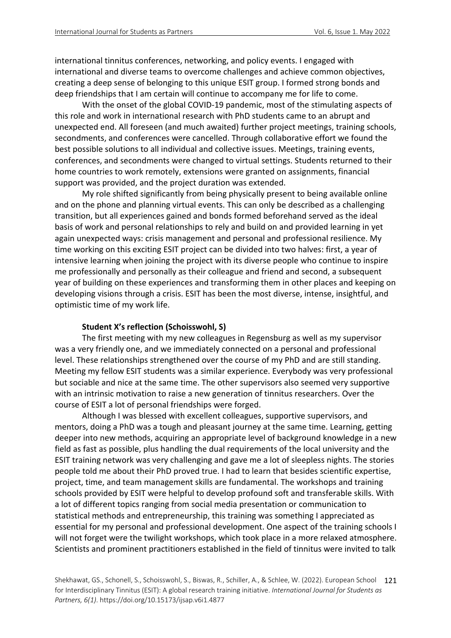international tinnitus conferences, networking, and policy events. I engaged with international and diverse teams to overcome challenges and achieve common objectives, creating a deep sense of belonging to this unique ESIT group. I formed strong bonds and deep friendships that I am certain will continue to accompany me for life to come.

With the onset of the global COVID-19 pandemic, most of the stimulating aspects of this role and work in international research with PhD students came to an abrupt and unexpected end. All foreseen (and much awaited) further project meetings, training schools, secondments, and conferences were cancelled. Through collaborative effort we found the best possible solutions to all individual and collective issues. Meetings, training events, conferences, and secondments were changed to virtual settings. Students returned to their home countries to work remotely, extensions were granted on assignments, financial support was provided, and the project duration was extended.

My role shifted significantly from being physically present to being available online and on the phone and planning virtual events. This can only be described as a challenging transition, but all experiences gained and bonds formed beforehand served as the ideal basis of work and personal relationships to rely and build on and provided learning in yet again unexpected ways: crisis management and personal and professional resilience. My time working on this exciting ESIT project can be divided into two halves: first, a year of intensive learning when joining the project with its diverse people who continue to inspire me professionally and personally as their colleague and friend and second, a subsequent year of building on these experiences and transforming them in other places and keeping on developing visions through a crisis. ESIT has been the most diverse, intense, insightful, and optimistic time of my work life.

## **Student X's reflection (Schoisswohl, S)**

The first meeting with my new colleagues in Regensburg as well as my supervisor was a very friendly one, and we immediately connected on a personal and professional level. These relationships strengthened over the course of my PhD and are still standing. Meeting my fellow ESIT students was a similar experience. Everybody was very professional but sociable and nice at the same time. The other supervisors also seemed very supportive with an intrinsic motivation to raise a new generation of tinnitus researchers. Over the course of ESIT a lot of personal friendships were forged.

Although I was blessed with excellent colleagues, supportive supervisors, and mentors, doing a PhD was a tough and pleasant journey at the same time. Learning, getting deeper into new methods, acquiring an appropriate level of background knowledge in a new field as fast as possible, plus handling the dual requirements of the local university and the ESIT training network was very challenging and gave me a lot of sleepless nights. The stories people told me about their PhD proved true. I had to learn that besides scientific expertise, project, time, and team management skills are fundamental. The workshops and training schools provided by ESIT were helpful to develop profound soft and transferable skills. With a lot of different topics ranging from social media presentation or communication to statistical methods and entrepreneurship, this training was something I appreciated as essential for my personal and professional development. One aspect of the training schools I will not forget were the twilight workshops, which took place in a more relaxed atmosphere. Scientists and prominent practitioners established in the field of tinnitus were invited to talk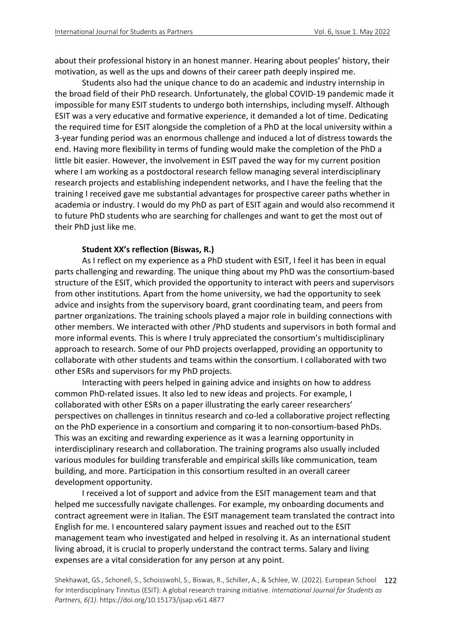about their professional history in an honest manner. Hearing about peoples' history, their motivation, as well as the ups and downs of their career path deeply inspired me.

Students also had the unique chance to do an academic and industry internship in the broad field of their PhD research. Unfortunately, the global COVID-19 pandemic made it impossible for many ESIT students to undergo both internships, including myself. Although ESIT was a very educative and formative experience, it demanded a lot of time. Dedicating the required time for ESIT alongside the completion of a PhD at the local university within a 3-year funding period was an enormous challenge and induced a lot of distress towards the end. Having more flexibility in terms of funding would make the completion of the PhD a little bit easier. However, the involvement in ESIT paved the way for my current position where I am working as a postdoctoral research fellow managing several interdisciplinary research projects and establishing independent networks, and I have the feeling that the training I received gave me substantial advantages for prospective career paths whether in academia or industry. I would do my PhD as part of ESIT again and would also recommend it to future PhD students who are searching for challenges and want to get the most out of their PhD just like me.

## **Student XX's reflection (Biswas, R.)**

As I reflect on my experience as a PhD student with ESIT, I feel it has been in equal parts challenging and rewarding. The unique thing about my PhD was the consortium-based structure of the ESIT, which provided the opportunity to interact with peers and supervisors from other institutions. Apart from the home university, we had the opportunity to seek advice and insights from the supervisory board, grant coordinating team, and peers from partner organizations. The training schools played a major role in building connections with other members. We interacted with other /PhD students and supervisors in both formal and more informal events. This is where I truly appreciated the consortium's multidisciplinary approach to research. Some of our PhD projects overlapped, providing an opportunity to collaborate with other students and teams within the consortium. I collaborated with two other ESRs and supervisors for my PhD projects.

Interacting with peers helped in gaining advice and insights on how to address common PhD-related issues. It also led to new ideas and projects. For example, I collaborated with other ESRs on a paper illustrating the early career researchers' perspectives on challenges in tinnitus research and co-led a collaborative project reflecting on the PhD experience in a consortium and comparing it to non-consortium-based PhDs. This was an exciting and rewarding experience as it was a learning opportunity in interdisciplinary research and collaboration. The training programs also usually included various modules for building transferable and empirical skills like communication, team building, and more. Participation in this consortium resulted in an overall career development opportunity.

I received a lot of support and advice from the ESIT management team and that helped me successfully navigate challenges. For example, my onboarding documents and contract agreement were in Italian. The ESIT management team translated the contract into English for me. I encountered salary payment issues and reached out to the ESIT management team who investigated and helped in resolving it. As an international student living abroad, it is crucial to properly understand the contract terms. Salary and living expenses are a vital consideration for any person at any point.

Shekhawat, GS., Schonell, S., Schoisswohl, S., Biswas, R., Schiller, A., & Schlee, W. (2022). European School 122 for Interdisciplinary Tinnitus (ESIT): A global research training initiative. *International Journal for Students as Partners, 6(1)*. https://doi.org/10.15173/ijsap.v6i1.4877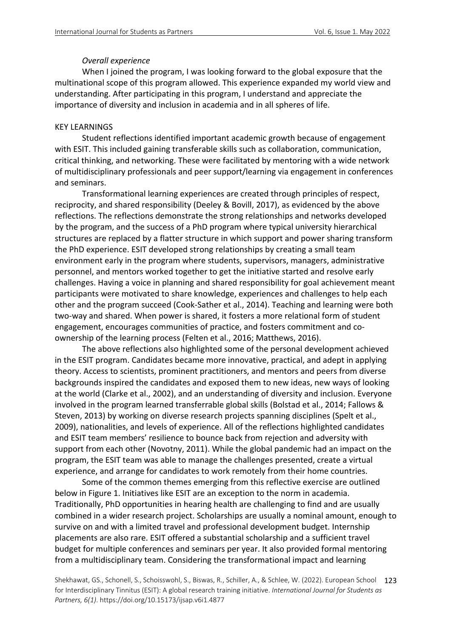## *Overall experience*

When I joined the program, I was looking forward to the global exposure that the multinational scope of this program allowed. This experience expanded my world view and understanding. After participating in this program, I understand and appreciate the importance of diversity and inclusion in academia and in all spheres of life.

## KEY LEARNINGS

Student reflections identified important academic growth because of engagement with ESIT. This included gaining transferable skills such as collaboration, communication, critical thinking, and networking. These were facilitated by mentoring with a wide network of multidisciplinary professionals and peer support/learning via engagement in conferences and seminars.

Transformational learning experiences are created through principles of respect, reciprocity, and shared responsibility (Deeley & Bovill, 2017), as evidenced by the above reflections. The reflections demonstrate the strong relationships and networks developed by the program, and the success of a PhD program where typical university hierarchical structures are replaced by a flatter structure in which support and power sharing transform the PhD experience. ESIT developed strong relationships by creating a small team environment early in the program where students, supervisors, managers, administrative personnel, and mentors worked together to get the initiative started and resolve early challenges. Having a voice in planning and shared responsibility for goal achievement meant participants were motivated to share knowledge, experiences and challenges to help each other and the program succeed (Cook-Sather et al., 2014). Teaching and learning were both two-way and shared. When power is shared, it fosters a more relational form of student engagement, encourages communities of practice, and fosters commitment and coownership of the learning process (Felten et al., 2016; Matthews, 2016).

The above reflections also highlighted some of the personal development achieved in the ESIT program. Candidates became more innovative, practical, and adept in applying theory. Access to scientists, prominent practitioners, and mentors and peers from diverse backgrounds inspired the candidates and exposed them to new ideas, new ways of looking at the world (Clarke et al., 2002), and an understanding of diversity and inclusion. Everyone involved in the program learned transferrable global skills (Bolstad et al., 2014; Fallows & Steven, 2013) by working on diverse research projects spanning disciplines (Spelt et al., 2009), nationalities, and levels of experience. All of the reflections highlighted candidates and ESIT team members' resilience to bounce back from rejection and adversity with support from each other (Novotny, 2011). While the global pandemic had an impact on the program, the ESIT team was able to manage the challenges presented, create a virtual experience, and arrange for candidates to work remotely from their home countries.

Some of the common themes emerging from this reflective exercise are outlined below in Figure 1. Initiatives like ESIT are an exception to the norm in academia. Traditionally, PhD opportunities in hearing health are challenging to find and are usually combined in a wider research project. Scholarships are usually a nominal amount, enough to survive on and with a limited travel and professional development budget. Internship placements are also rare. ESIT offered a substantial scholarship and a sufficient travel budget for multiple conferences and seminars per year. It also provided formal mentoring from a multidisciplinary team. Considering the transformational impact and learning

Shekhawat, GS., Schonell, S., Schoisswohl, S., Biswas, R., Schiller, A., & Schlee, W. (2022). European School 123 for Interdisciplinary Tinnitus (ESIT): A global research training initiative. *International Journal for Students as Partners, 6(1)*. https://doi.org/10.15173/ijsap.v6i1.4877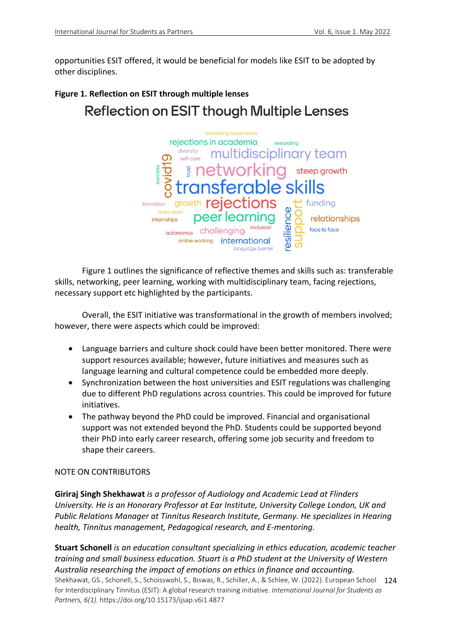opportunities ESIT offered, it would be beneficial for models like ESIT to be adopted by other disciplines.

# **Figure 1. Reflection on ESIT through multiple lenses Reflection on ESIT though Multiple Lenses**



Figure 1 outlines the significance of reflective themes and skills such as: transferable skills, networking, peer learning, working with multidisciplinary team, facing rejections, necessary support etc highlighted by the participants.

Overall, the ESIT initiative was transformational in the growth of members involved; however, there were aspects which could be improved:

- Language barriers and culture shock could have been better monitored. There were support resources available; however, future initiatives and measures such as language learning and cultural competence could be embedded more deeply.
- Synchronization between the host universities and ESIT regulations was challenging due to different PhD regulations across countries. This could be improved for future initiatives.
- The pathway beyond the PhD could be improved. Financial and organisational support was not extended beyond the PhD. Students could be supported beyond their PhD into early career research, offering some job security and freedom to shape their careers.

## NOTE ON CONTRIBUTORS

**Giriraj Singh Shekhawat** *is a professor of Audiology and Academic Lead at Flinders University. He is an Honorary Professor at Ear Institute, University College London, UK and Public Relations Manager at Tinnitus Research Institute, Germany. He specializes in Hearing health, Tinnitus management, Pedagogical research, and E-mentoring.*

Shekhawat, GS., Schonell, S., Schoisswohl, S., Biswas, R., Schiller, A., & Schlee, W. (2022). European School 124 for Interdisciplinary Tinnitus (ESIT): A global research training initiative. *International Journal for Students as Partners, 6(1)*. https://doi.org/10.15173/ijsap.v6i1.4877 **Stuart Schonell** *is an education consultant specializing in ethics education, academic teacher training and small business education. Stuart is a PhD student at the University of Western Australia researching the impact of emotions on ethics in finance and accounting.*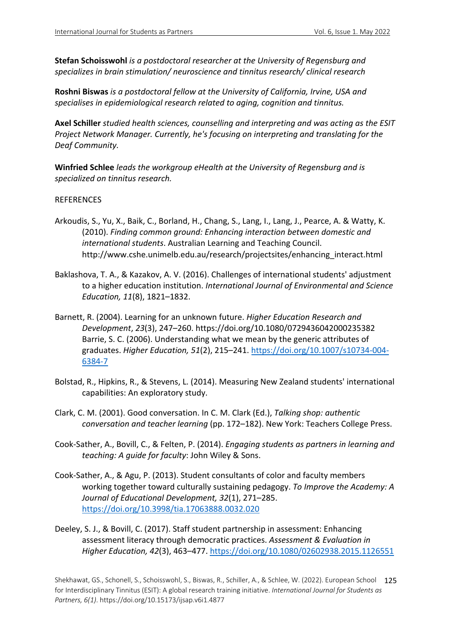**Stefan Schoisswohl** *is a postdoctoral researcher at the University of Regensburg and specializes in brain stimulation/ neuroscience and tinnitus research/ clinical research*

**Roshni Biswas** *is a postdoctoral fellow at the University of California, Irvine, USA and specialises in epidemiological research related to aging, cognition and tinnitus.*

**Axel Schiller** *studied health sciences, counselling and interpreting and was acting as the ESIT Project Network Manager. Currently, he's focusing on interpreting and translating for the Deaf Community.*

**Winfried Schlee** *leads the workgroup eHealth at the University of Regensburg and is specialized on tinnitus research.*

## REFERENCES

- Arkoudis, S., Yu, X., Baik, C., Borland, H., Chang, S., Lang, I., Lang, J., Pearce, A. & Watty, K. (2010). *Finding common ground: Enhancing interaction between domestic and international students*. Australian Learning and Teaching Council. http://www.cshe.unimelb.edu.au/research/projectsites/enhancing\_interact.html
- Baklashova, T. A., & Kazakov, A. V. (2016). Challenges of international students' adjustment to a higher education institution. *International Journal of Environmental and Science Education, 11*(8), 1821–1832.
- Barnett, R. (2004). Learning for an unknown future. *Higher Education Research and Development*, *23*(3), 247–260. https://doi.org/10.1080/0729436042000235382 Barrie, S. C. (2006). Understanding what we mean by the generic attributes of graduates. *Higher Education, 51*(2), 215–241. https://doi.org/10.1007/s10734-004- 6384-7
- Bolstad, R., Hipkins, R., & Stevens, L. (2014). Measuring New Zealand students' international capabilities: An exploratory study.
- Clark, C. M. (2001). Good conversation. In C. M. Clark (Ed.), *Talking shop: authentic conversation and teacher learning* (pp. 172–182). New York: Teachers College Press.
- Cook-Sather, A., Bovill, C., & Felten, P. (2014). *Engaging students as partners in learning and teaching: A guide for faculty*: John Wiley & Sons.
- Cook-Sather, A., & Agu, P. (2013). Student consultants of color and faculty members working together toward culturally sustaining pedagogy. *To Improve the Academy: A Journal of Educational Development, 32*(1), 271–285. https://doi.org/10.3998/tia.17063888.0032.020
- Deeley, S. J., & Bovill, C. (2017). Staff student partnership in assessment: Enhancing assessment literacy through democratic practices. *Assessment & Evaluation in Higher Education, 42*(3), 463–477. https://doi.org/10.1080/02602938.2015.1126551

Shekhawat, GS., Schonell, S., Schoisswohl, S., Biswas, R., Schiller, A., & Schlee, W. (2022). European School 125 for Interdisciplinary Tinnitus (ESIT): A global research training initiative. *International Journal for Students as Partners, 6(1)*. https://doi.org/10.15173/ijsap.v6i1.4877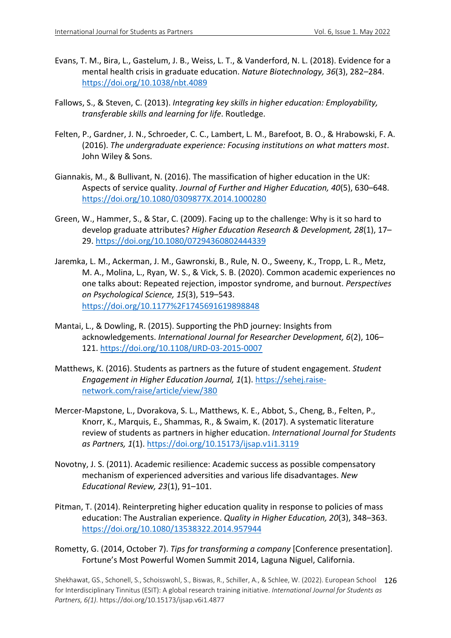- Evans, T. M., Bira, L., Gastelum, J. B., Weiss, L. T., & Vanderford, N. L. (2018). Evidence for a mental health crisis in graduate education. *Nature Biotechnology, 36*(3), 282–284. https://doi.org/10.1038/nbt.4089
- Fallows, S., & Steven, C. (2013). *Integrating key skills in higher education: Employability, transferable skills and learning for life*. Routledge.
- Felten, P., Gardner, J. N., Schroeder, C. C., Lambert, L. M., Barefoot, B. O., & Hrabowski, F. A. (2016). *The undergraduate experience: Focusing institutions on what matters most*. John Wiley & Sons.
- Giannakis, M., & Bullivant, N. (2016). The massification of higher education in the UK: Aspects of service quality. *Journal of Further and Higher Education, 40*(5), 630–648. https://doi.org/10.1080/0309877X.2014.1000280
- Green, W., Hammer, S., & Star, C. (2009). Facing up to the challenge: Why is it so hard to develop graduate attributes? *Higher Education Research & Development, 28*(1), 17– 29. https://doi.org/10.1080/07294360802444339
- Jaremka, L. M., Ackerman, J. M., Gawronski, B., Rule, N. O., Sweeny, K., Tropp, L. R., Metz, M. A., Molina, L., Ryan, W. S., & Vick, S. B. (2020). Common academic experiences no one talks about: Repeated rejection, impostor syndrome, and burnout. *Perspectives on Psychological Science, 15*(3), 519–543. https://doi.org/10.1177%2F1745691619898848
- Mantai, L., & Dowling, R. (2015). Supporting the PhD journey: Insights from acknowledgements. *International Journal for Researcher Development, 6*(2), 106– 121. https://doi.org/10.1108/IJRD-03-2015-0007
- Matthews, K. (2016). Students as partners as the future of student engagement. *Student Engagement in Higher Education Journal, 1*(1). https://sehej.raisenetwork.com/raise/article/view/380
- Mercer-Mapstone, L., Dvorakova, S. L., Matthews, K. E., Abbot, S., Cheng, B., Felten, P., Knorr, K., Marquis, E., Shammas, R., & Swaim, K. (2017). A systematic literature review of students as partners in higher education. *International Journal for Students as Partners, 1*(1). https://doi.org/10.15173/ijsap.v1i1.3119
- Novotny, J. S. (2011). Academic resilience: Academic success as possible compensatory mechanism of experienced adversities and various life disadvantages. *New Educational Review, 23*(1), 91–101.
- Pitman, T. (2014). Reinterpreting higher education quality in response to policies of mass education: The Australian experience. *Quality in Higher Education, 20*(3), 348–363. https://doi.org/10.1080/13538322.2014.957944
- Rometty, G. (2014, October 7). *Tips for transforming a company* [Conference presentation]. Fortune's Most Powerful Women Summit 2014, Laguna Niguel, California.

Shekhawat, GS., Schonell, S., Schoisswohl, S., Biswas, R., Schiller, A., & Schlee, W. (2022). European School 126 for Interdisciplinary Tinnitus (ESIT): A global research training initiative. *International Journal for Students as Partners, 6(1)*. https://doi.org/10.15173/ijsap.v6i1.4877